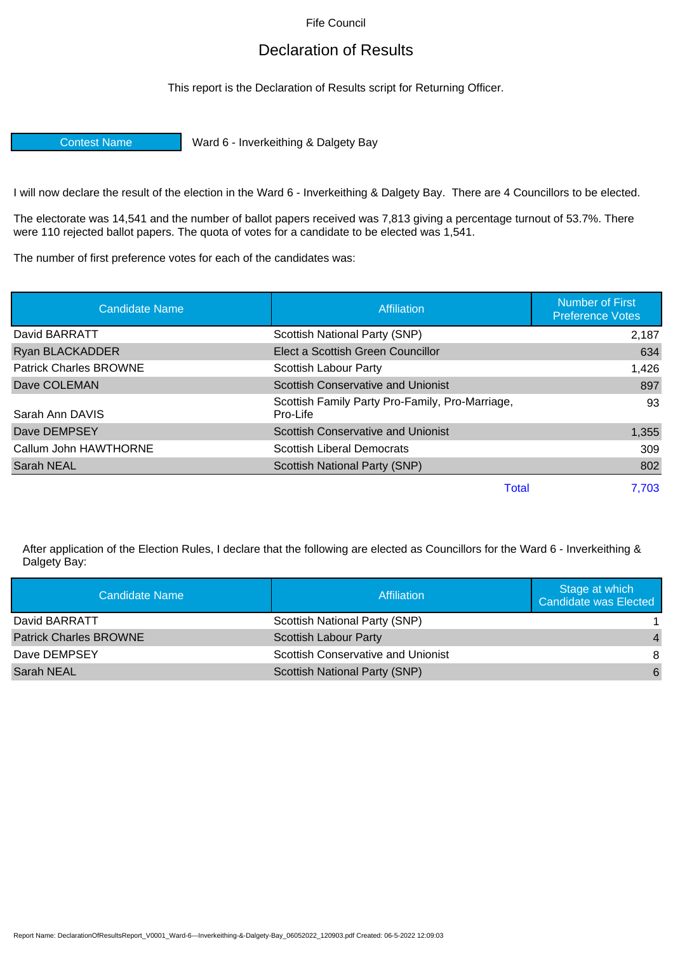Fife Council

## Declaration of Results

This report is the Declaration of Results script for Returning Officer.

Contest Name Ward 6 - Inverkeithing & Dalgety Bay

I will now declare the result of the election in the Ward 6 - Inverkeithing & Dalgety Bay. There are 4 Councillors to be elected.

The electorate was 14,541 and the number of ballot papers received was 7,813 giving a percentage turnout of 53.7%. There were 110 rejected ballot papers. The quota of votes for a candidate to be elected was 1,541.

The number of first preference votes for each of the candidates was:

| <b>Candidate Name</b>         | Affiliation                                                 | Number of First<br><b>Preference Votes</b> |
|-------------------------------|-------------------------------------------------------------|--------------------------------------------|
| David BARRATT                 | Scottish National Party (SNP)                               | 2,187                                      |
| Ryan BLACKADDER               | Elect a Scottish Green Councillor                           | 634                                        |
| <b>Patrick Charles BROWNE</b> | Scottish Labour Party                                       | 1,426                                      |
| Dave COLEMAN                  | Scottish Conservative and Unionist                          | 897                                        |
| Sarah Ann DAVIS               | Scottish Family Party Pro-Family, Pro-Marriage,<br>Pro-Life | 93                                         |
| Dave DEMPSEY                  | Scottish Conservative and Unionist                          | 1,355                                      |
| Callum John HAWTHORNE         | Scottish Liberal Democrats                                  | 309                                        |
| Sarah NEAL                    | <b>Scottish National Party (SNP)</b>                        | 802                                        |
|                               | Total                                                       | 7,703                                      |

After application of the Election Rules, I declare that the following are elected as Councillors for the Ward 6 - Inverkeithing & Dalgety Bay:

| Candidate Name                | Affiliation                               | Stage at which<br>Candidate was Elected |
|-------------------------------|-------------------------------------------|-----------------------------------------|
| David BARRATT                 | Scottish National Party (SNP)             |                                         |
| <b>Patrick Charles BROWNE</b> | <b>Scottish Labour Party</b>              | $\overline{4}$                          |
| Dave DEMPSEY                  | <b>Scottish Conservative and Unionist</b> | 8                                       |
| Sarah NEAL                    | <b>Scottish National Party (SNP)</b>      | 6                                       |